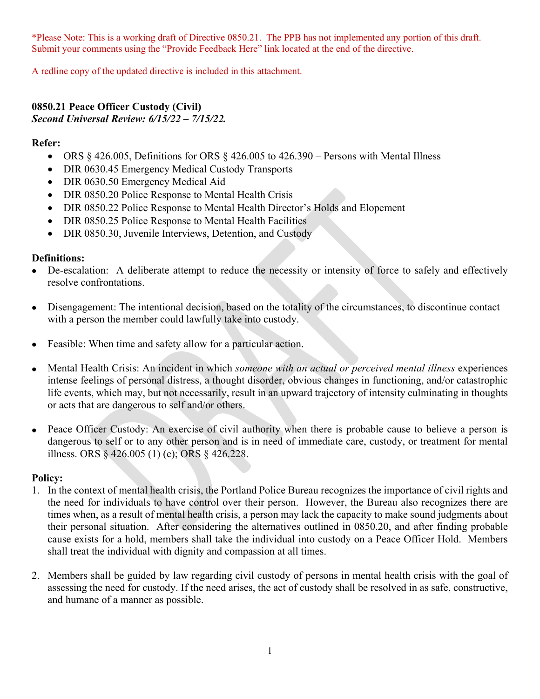\*Please Note: This is a working draft of Directive 0850.21. The PPB has not implemented any portion of this draft. Submit your comments using the "Provide Feedback Here" link located at the end of the directive.

A redline copy of the updated directive is included in this attachment.

#### **0850.21 Peace Officer Custody (Civil)** *Second Universal Review: 6/15/22 – 7/15/22.*

### **Refer:**

- ORS  $§$  426.005, Definitions for ORS  $§$  426.005 to 426.390 Persons with Mental Illness
- DIR 0630.45 Emergency Medical Custody Transports
- DIR 0630.50 Emergency Medical Aid
- DIR 0850.20 Police Response to Mental Health Crisis
- DIR 0850.22 Police Response to Mental Health Director's Holds and Elopement
- DIR 0850.25 Police Response to Mental Health Facilities
- DIR 0850.30, Juvenile Interviews, Detention, and Custody

### **Definitions:**

- De-escalation: A deliberate attempt to reduce the necessity or intensity of force to safely and effectively resolve confrontations.
- Disengagement: The intentional decision, based on the totality of the circumstances, to discontinue contact with a person the member could lawfully take into custody.
- Feasible: When time and safety allow for a particular action.
- Mental Health Crisis: An incident in which *someone with an actual or perceived mental illness* experiences intense feelings of personal distress, a thought disorder, obvious changes in functioning, and/or catastrophic life events, which may, but not necessarily, result in an upward trajectory of intensity culminating in thoughts or acts that are dangerous to self and/or others.
- Peace Officer Custody: An exercise of civil authority when there is probable cause to believe a person is dangerous to self or to any other person and is in need of immediate care, custody, or treatment for mental illness. ORS § 426.005 (1) (e); ORS § 426.228.

#### **Policy:**

- 1. In the context of mental health crisis, the Portland Police Bureau recognizes the importance of civil rights and the need for individuals to have control over their person. However, the Bureau also recognizes there are times when, as a result of mental health crisis, a person may lack the capacity to make sound judgments about their personal situation. After considering the alternatives outlined in 0850.20, and after finding probable cause exists for a hold, members shall take the individual into custody on a Peace Officer Hold. Members shall treat the individual with dignity and compassion at all times.
- 2. Members shall be guided by law regarding civil custody of persons in mental health crisis with the goal of assessing the need for custody. If the need arises, the act of custody shall be resolved in as safe, constructive, and humane of a manner as possible.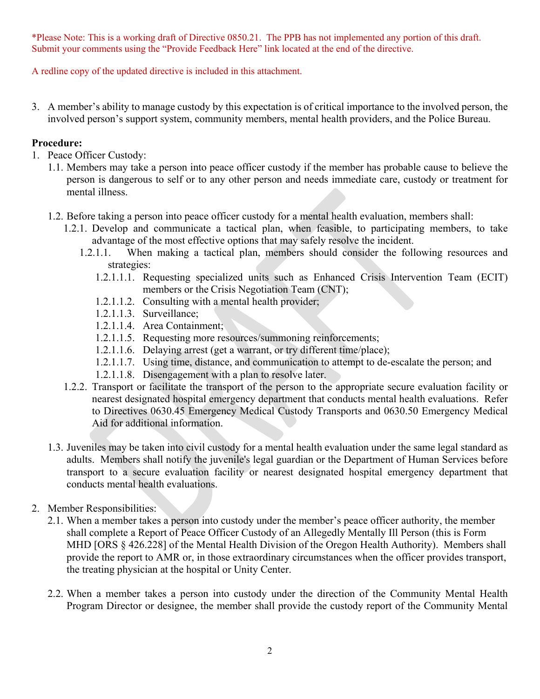\*Please Note: This is a working draft of Directive 0850.21. The PPB has not implemented any portion of this draft. Submit your comments using the "Provide Feedback Here" link located at the end of the directive.

A redline copy of the updated directive is included in this attachment.

3. A member's ability to manage custody by this expectation is of critical importance to the involved person, the involved person's support system, community members, mental health providers, and the Police Bureau.

### **Procedure:**

- 1. Peace Officer Custody:
	- 1.1. Members may take a person into peace officer custody if the member has probable cause to believe the person is dangerous to self or to any other person and needs immediate care, custody or treatment for mental illness.
	- 1.2. Before taking a person into peace officer custody for a mental health evaluation, members shall:
		- 1.2.1. Develop and communicate a tactical plan, when feasible, to participating members, to take advantage of the most effective options that may safely resolve the incident.
			- 1.2.1.1. When making a tactical plan, members should consider the following resources and strategies:
				- 1.2.1.1.1. Requesting specialized units such as Enhanced Crisis Intervention Team (ECIT) members or the Crisis Negotiation Team (CNT);
				- 1.2.1.1.2. Consulting with a mental health provider;
				- 1.2.1.1.3. Surveillance;
				- 1.2.1.1.4. Area Containment;
				- 1.2.1.1.5. Requesting more resources/summoning reinforcements;
				- 1.2.1.1.6. Delaying arrest (get a warrant, or try different time/place);
				- 1.2.1.1.7. Using time, distance, and communication to attempt to de-escalate the person; and
				- 1.2.1.1.8. Disengagement with a plan to resolve later.
		- 1.2.2. Transport or facilitate the transport of the person to the appropriate secure evaluation facility or nearest designated hospital emergency department that conducts mental health evaluations. Refer to Directives 0630.45 Emergency Medical Custody Transports and 0630.50 Emergency Medical Aid for additional information.
	- 1.3. Juveniles may be taken into civil custody for a mental health evaluation under the same legal standard as adults. Members shall notify the juvenile's legal guardian or the Department of Human Services before transport to a secure evaluation facility or nearest designated hospital emergency department that conducts mental health evaluations.
- 2. Member Responsibilities:
	- 2.1. When a member takes a person into custody under the member's peace officer authority, the member shall complete a Report of Peace Officer Custody of an Allegedly Mentally Ill Person (this is Form MHD [ORS § 426.228] of the Mental Health Division of the Oregon Health Authority). Members shall provide the report to AMR or, in those extraordinary circumstances when the officer provides transport, the treating physician at the hospital or Unity Center.
	- 2.2. When a member takes a person into custody under the direction of the Community Mental Health Program Director or designee, the member shall provide the custody report of the Community Mental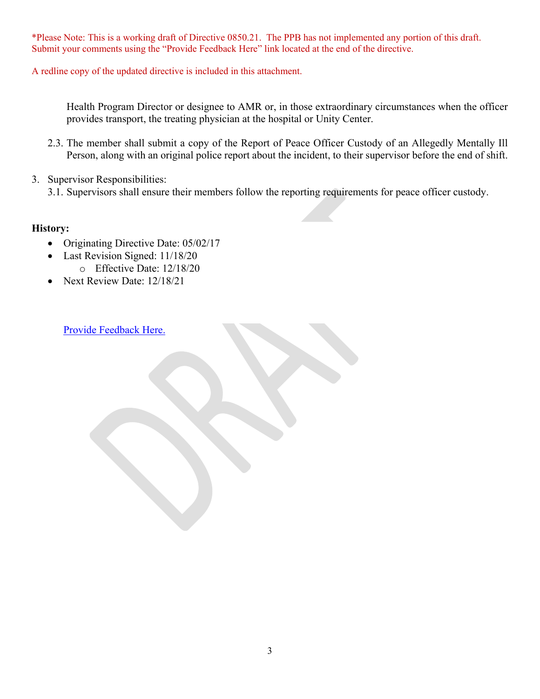\*Please Note: This is a working draft of Directive 0850.21. The PPB has not implemented any portion of this draft. Submit your comments using the "Provide Feedback Here" link located at the end of the directive.

A redline copy of the updated directive is included in this attachment.

Health Program Director or designee to AMR or, in those extraordinary circumstances when the officer provides transport, the treating physician at the hospital or Unity Center.

- 2.3. The member shall submit a copy of the Report of Peace Officer Custody of an Allegedly Mentally Ill Person, along with an original police report about the incident, to their supervisor before the end of shift.
- 3. Supervisor Responsibilities:
	- 3.1. Supervisors shall ensure their members follow the reporting requirements for peace officer custody.

### **History:**

- Originating Directive Date: 05/02/17
- Last Revision Signed: 11/18/20
	- o Effective Date: 12/18/20
- Next Review Date: 12/18/21

[Provide Feedback Here.](https://www.surveymonkey.com/r/23STRLF)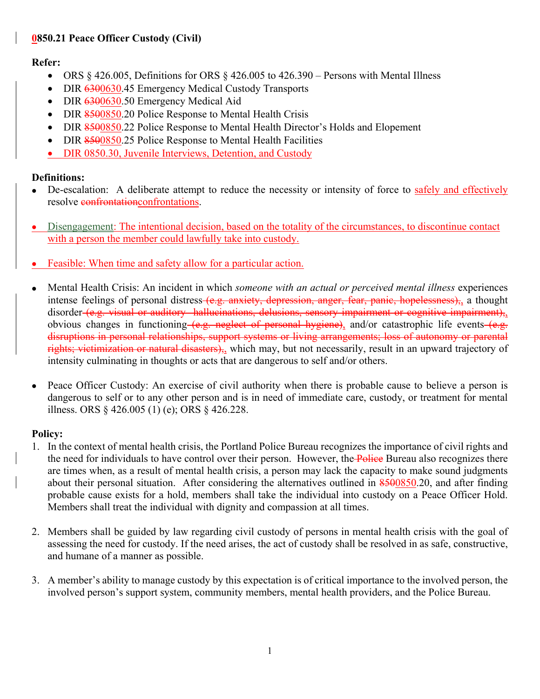# **0850.21 Peace Officer Custody (Civil)**

# **Refer:**

- ORS  $§$  426.005, Definitions for ORS  $§$  426.005 to 426.390 Persons with Mental Illness
- DIR 6300630.45 Emergency Medical Custody Transports
- DIR 6300630.50 Emergency Medical Aid
- DIR 8500850.20 Police Response to Mental Health Crisis
- DIR 8500850.22 Police Response to Mental Health Director's Holds and Elopement
- DIR 8500850.25 Police Response to Mental Health Facilities
- DIR 0850.30, Juvenile Interviews, Detention, and Custody

# **Definitions:**

- De-escalation: A deliberate attempt to reduce the necessity or intensity of force to safely and effectively resolve confrontations or resolve confrontations.
- Disengagement: The intentional decision, based on the totality of the circumstances, to discontinue contact with a person the member could lawfully take into custody.
- Feasible: When time and safety allow for a particular action.
- Mental Health Crisis: An incident in which *someone with an actual or perceived mental illness* experiences intense feelings of personal distress (e.g. anxiety, depression, anger, fear, panic, hopelessness), a thought disorder (e.g. visual or auditory hallucinations, delusions, sensory impairment or cognitive impairment), obvious changes in functioning (e.g. neglect of personal hygiene), and/or catastrophic life events (e.g. disruptions in personal relationships, support systems or living arrangements; loss of autonomy or parental rights; victimization or natural disasters), which may, but not necessarily, result in an upward trajectory of intensity culminating in thoughts or acts that are dangerous to self and/or others.
- Peace Officer Custody: An exercise of civil authority when there is probable cause to believe a person is dangerous to self or to any other person and is in need of immediate care, custody, or treatment for mental illness. ORS § 426.005 (1) (e); ORS § 426.228.

# **Policy:**

- 1. In the context of mental health crisis, the Portland Police Bureau recognizes the importance of civil rights and the need for individuals to have control over their person. However, the **Police** Bureau also recognizes there are times when, as a result of mental health crisis, a person may lack the capacity to make sound judgments about their personal situation. After considering the alternatives outlined in 8500850.20, and after finding probable cause exists for a hold, members shall take the individual into custody on a Peace Officer Hold. Members shall treat the individual with dignity and compassion at all times.
- 2. Members shall be guided by law regarding civil custody of persons in mental health crisis with the goal of assessing the need for custody. If the need arises, the act of custody shall be resolved in as safe, constructive, and humane of a manner as possible.
- 3. A member's ability to manage custody by this expectation is of critical importance to the involved person, the involved person's support system, community members, mental health providers, and the Police Bureau.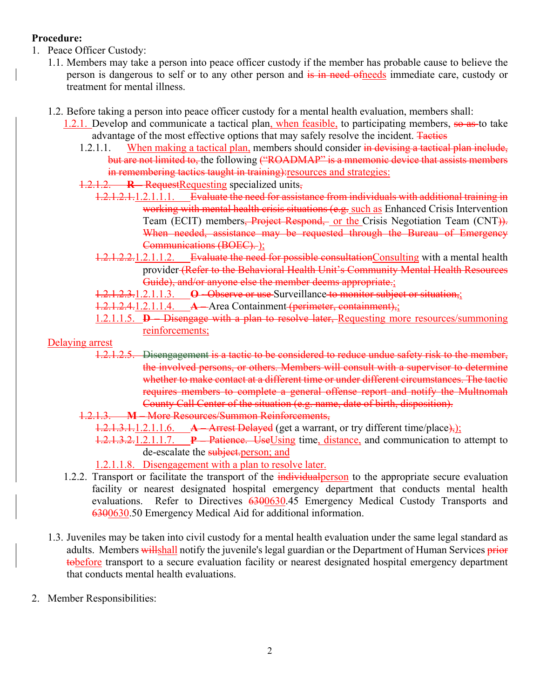# **Procedure:**

- 1. Peace Officer Custody:
	- 1.1. Members may take a person into peace officer custody if the member has probable cause to believe the person is dangerous to self or to any other person and is in need of needs immediate care, custody or treatment for mental illness.
	- 1.2. Before taking a person into peace officer custody for a mental health evaluation, members shall:
		- 1.2.1. Develop and communicate a tactical plan, when feasible, to participating members, so as to take advantage of the most effective options that may safely resolve the incident. Tactics
			- 1.2.1.1. When making a tactical plan, members should consider in devising a tactical plan include, but are not limited to, the following ("ROADMAP" is a mnemonic device that assists members in remembering tactics taught in training): resources and strategies:
			- 1.2.1.2. **R** Request Requesting specialized units,
				- 1.2.1.2.1.1.2.1.1.1. Evaluate the need for assistance from individuals with additional training in working with mental health crisis situations (e.g. such as Enhanced Crisis Intervention Team (ECIT) members, Project Respond, or the Crisis Negotiation Team (CNT). When needed, assistance may be requested through the Bureau of Emergency Communications (BOEC). );
				- 1.2.1.2.2.1.2.1.1.2. Evaluate the need for possible consultation Consulting with a mental health provider (Refer to the Behavioral Health Unit's Community Mental Health Resources Guide), and/or anyone else the member deems appropriate.;
				- 1.2.1.2.3.1.2.1.1.3. **O -** Observe or use Surveillance to monitor subject or situation,;
				- 1.2.1.2.4.1.2.1.1.4. **A –** Area Containment (perimeter, containment),;
				- 1.2.1.1.5. **D –** Disengage with a plan to resolve later, Requesting more resources/summoning reinforcements;

Delaying arrest

- 1.2.1.2.5. Disengagement is a tactic to be considered to reduce undue safety risk to the member, the involved persons, or others. Members will consult with a supervisor to determine whether to make contact at a different time or under different circumstances. The tactic requires members to complete a general offense report and notify the Multnomah County Call Center of the situation (e.g. name, date of birth, disposition).
- 1.2.1.3. **M**  More Resources/Summon Reinforcements,
	- 1.2.1.3.1.1.2.1.1.6. **A** Arrest Delayed (get a warrant, or try different time/place),
	- 1.2.1.3.2.1.2.1.1.7. **P –** Patience. UseUsing time, distance, and communication to attempt to de-escalate the subject.person; and
	- 1.2.1.1.8. Disengagement with a plan to resolve later.
- 1.2.2. Transport or facilitate the transport of the *individual* person to the appropriate secure evaluation facility or nearest designated hospital emergency department that conducts mental health evaluations. Refer to Directives 6300630.45 Emergency Medical Custody Transports and 6300630.50 Emergency Medical Aid for additional information.
- 1.3. Juveniles may be taken into civil custody for a mental health evaluation under the same legal standard as adults. Members willshall notify the juvenile's legal guardian or the Department of Human Services prior tobefore transport to a secure evaluation facility or nearest designated hospital emergency department that conducts mental health evaluations.
- 2. Member Responsibilities: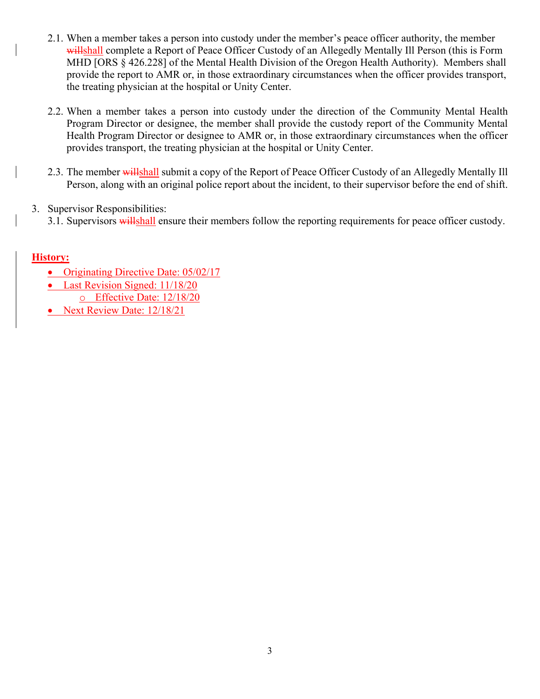- 2.1. When a member takes a person into custody under the member's peace officer authority, the member willshall complete a Report of Peace Officer Custody of an Allegedly Mentally Ill Person (this is Form MHD [ORS § 426.228] of the Mental Health Division of the Oregon Health Authority). Members shall provide the report to AMR or, in those extraordinary circumstances when the officer provides transport, the treating physician at the hospital or Unity Center.
- 2.2. When a member takes a person into custody under the direction of the Community Mental Health Program Director or designee, the member shall provide the custody report of the Community Mental Health Program Director or designee to AMR or, in those extraordinary circumstances when the officer provides transport, the treating physician at the hospital or Unity Center.
- 2.3. The member willshall submit a copy of the Report of Peace Officer Custody of an Allegedly Mentally Ill Person, along with an original police report about the incident, to their supervisor before the end of shift.
- 3. Supervisor Responsibilities:
	- 3.1. Supervisors willshall ensure their members follow the reporting requirements for peace officer custody.

# **History:**

- Originating Directive Date: 05/02/17
- Last Revision Signed: 11/18/20
	- o Effective Date: 12/18/20
- Next Review Date: 12/18/21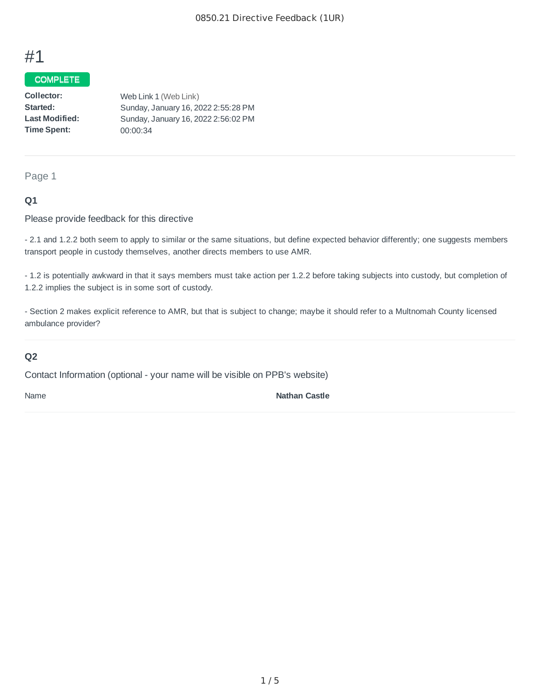# #1

# **COMPLETE**

| Collector:            | Web Link 1 (Web Link)               |
|-----------------------|-------------------------------------|
| Started:              | Sunday, January 16, 2022 2:55:28 PM |
| <b>Last Modified:</b> | Sunday, January 16, 2022 2:56:02 PM |
| Time Spent:           | 00:00:34                            |

Page 1

#### **Q1**

Please provide feedback for this directive

- 2.1 and 1.2.2 both seem to apply to similar or the same situations, but define expected behavior differently; one suggests members transport people in custody themselves, another directs members to use AMR.

- 1.2 is potentially awkward in that it says members must take action per 1.2.2 before taking subjects into custody, but completion of 1.2.2 implies the subject is in some sort of custody.

- Section 2 makes explicit reference to AMR, but that is subject to change; maybe it should refer to a Multnomah County licensed ambulance provider?

## **Q2**

Contact Information (optional - your name will be visible on PPB's website)

Name **Nathan Castle**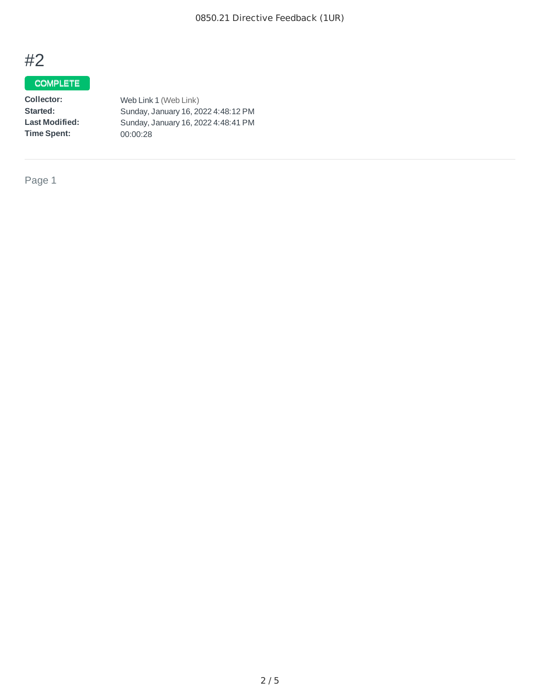

# **COMPLETE**

| Collector:            | Web Link 1 (Web Link)               |
|-----------------------|-------------------------------------|
| Started:              | Sunday, January 16, 2022 4:48:12 PM |
| <b>Last Modified:</b> | Sunday, January 16, 2022 4:48:41 PM |
| <b>Time Spent:</b>    | 00:00:28                            |
|                       |                                     |

Page 1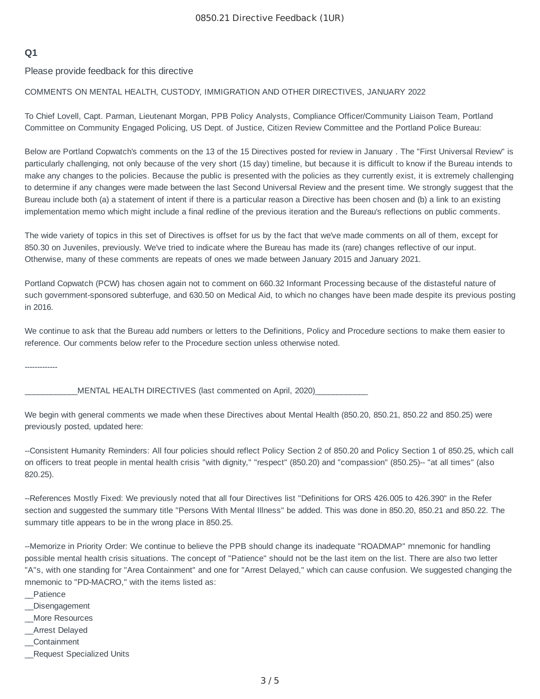### **Q1**

Please provide feedback for this directive

#### COMMENTS ON MENTAL HEALTH, CUSTODY, IMMIGRATION AND OTHER DIRECTIVES, JANUARY 2022

To Chief Lovell, Capt. Parman, Lieutenant Morgan, PPB Policy Analysts, Compliance Officer/Community Liaison Team, Portland Committee on Community Engaged Policing, US Dept. of Justice, Citizen Review Committee and the Portland Police Bureau:

Below are Portland Copwatch's comments on the 13 of the 15 Directives posted for review in January . The "First Universal Review" is particularly challenging, not only because of the very short (15 day) timeline, but because it is difficult to know if the Bureau intends to make any changes to the policies. Because the public is presented with the policies as they currently exist, it is extremely challenging to determine if any changes were made between the last Second Universal Review and the present time. We strongly suggest that the Bureau include both (a) a statement of intent if there is a particular reason a Directive has been chosen and (b) a link to an existing implementation memo which might include a final redline of the previous iteration and the Bureau's reflections on public comments.

The wide variety of topics in this set of Directives is offset for us by the fact that we've made comments on all of them, except for 850.30 on Juveniles, previously. We've tried to indicate where the Bureau has made its (rare) changes reflective of our input. Otherwise, many of these comments are repeats of ones we made between January 2015 and January 2021.

Portland Copwatch (PCW) has chosen again not to comment on 660.32 Informant Processing because of the distasteful nature of such government-sponsored subterfuge, and 630.50 on Medical Aid, to which no changes have been made despite its previous posting in 2016.

We continue to ask that the Bureau add numbers or letters to the Definitions, Policy and Procedure sections to make them easier to reference. Our comments below refer to the Procedure section unless otherwise noted.

-------------

MENTAL HEALTH DIRECTIVES (last commented on April, 2020)

We begin with general comments we made when these Directives about Mental Health (850.20, 850.21, 850.22 and 850.25) were previously posted, updated here:

--Consistent Humanity Reminders: All four policies should reflect Policy Section 2 of 850.20 and Policy Section 1 of 850.25, which call on officers to treat people in mental health crisis "with dignity," "respect" (850.20) and "compassion" (850.25)-- "at all times" (also 820.25).

--References Mostly Fixed: We previously noted that all four Directives list "Definitions for ORS 426.005 to 426.390" in the Refer section and suggested the summary title "Persons With Mental Illness" be added. This was done in 850.20, 850.21 and 850.22. The summary title appears to be in the wrong place in 850.25.

--Memorize in Priority Order: We continue to believe the PPB should change its inadequate "ROADMAP" mnemonic for handling possible mental health crisis situations. The concept of "Patience" should not be the last item on the list. There are also two letter "A"s, with one standing for "Area Containment" and one for "Arrest Delayed," which can cause confusion. We suggested changing the mnemonic to "PD-MACRO," with the items listed as:

- \_\_Patience
- \_\_Disengagement
- \_\_More Resources
- \_\_Arrest Delayed
- \_\_Containment
- \_\_Request Specialized Units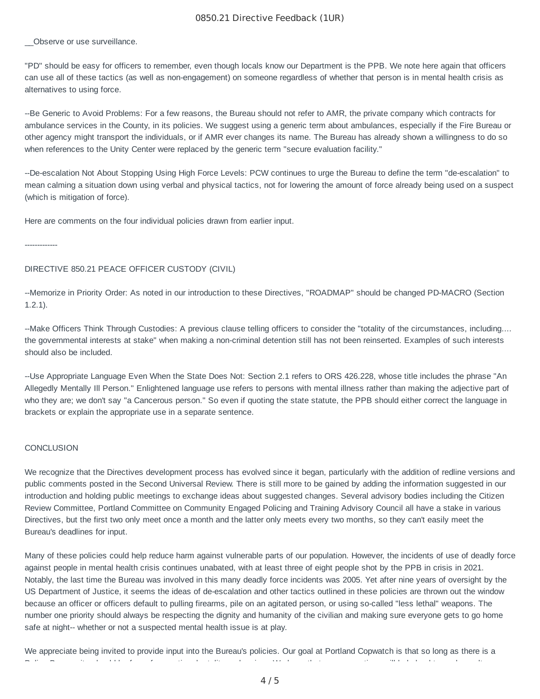#### 0850.21 Directive Feedback (1UR)

Observe or use surveillance.

"PD" should be easy for officers to remember, even though locals know our Department is the PPB. We note here again that officers can use all of these tactics (as well as non-engagement) on someone regardless of whether that person is in mental health crisis as alternatives to using force.

--Be Generic to Avoid Problems: For a few reasons, the Bureau should not refer to AMR, the private company which contracts for ambulance services in the County, in its policies. We suggest using a generic term about ambulances, especially if the Fire Bureau or other agency might transport the individuals, or if AMR ever changes its name. The Bureau has already shown a willingness to do so when references to the Unity Center were replaced by the generic term "secure evaluation facility."

--De-escalation Not About Stopping Using High Force Levels: PCW continues to urge the Bureau to define the term "de-escalation" to mean calming a situation down using verbal and physical tactics, not for lowering the amount of force already being used on a suspect (which is mitigation of force).

Here are comments on the four individual policies drawn from earlier input.

-------------

#### DIRECTIVE 850.21 PEACE OFFICER CUSTODY (CIVIL)

--Memorize in Priority Order: As noted in our introduction to these Directives, "ROADMAP" should be changed PD-MACRO (Section 1.2.1).

--Make Officers Think Through Custodies: A previous clause telling officers to consider the "totality of the circumstances, including.... the governmental interests at stake" when making a non-criminal detention still has not been reinserted. Examples of such interests should also be included.

--Use Appropriate Language Even When the State Does Not: Section 2.1 refers to ORS 426.228, whose title includes the phrase "An Allegedly Mentally Ill Person." Enlightened language use refers to persons with mental illness rather than making the adjective part of who they are; we don't say "a Cancerous person." So even if quoting the state statute, the PPB should either correct the language in brackets or explain the appropriate use in a separate sentence.

#### **CONCLUSION**

We recognize that the Directives development process has evolved since it began, particularly with the addition of redline versions and public comments posted in the Second Universal Review. There is still more to be gained by adding the information suggested in our introduction and holding public meetings to exchange ideas about suggested changes. Several advisory bodies including the Citizen Review Committee, Portland Committee on Community Engaged Policing and Training Advisory Council all have a stake in various Directives, but the first two only meet once a month and the latter only meets every two months, so they can't easily meet the Bureau's deadlines for input.

Many of these policies could help reduce harm against vulnerable parts of our population. However, the incidents of use of deadly force against people in mental health crisis continues unabated, with at least three of eight people shot by the PPB in crisis in 2021. Notably, the last time the Bureau was involved in this many deadly force incidents was 2005. Yet after nine years of oversight by the US Department of Justice, it seems the ideas of de-escalation and other tactics outlined in these policies are thrown out the window because an officer or officers default to pulling firearms, pile on an agitated person, or using so-called "less lethal" weapons. The number one priority should always be respecting the dignity and humanity of the civilian and making sure everyone gets to go home safe at night-- whether or not a suspected mental health issue is at play.

We appreciate being invited to provide input into the Bureau's policies. Our goal at Portland Copwatch is that so long as there is a P li B it h la b it h la b t lit d i was to the time to the time that the second the time that the time of the<br>P